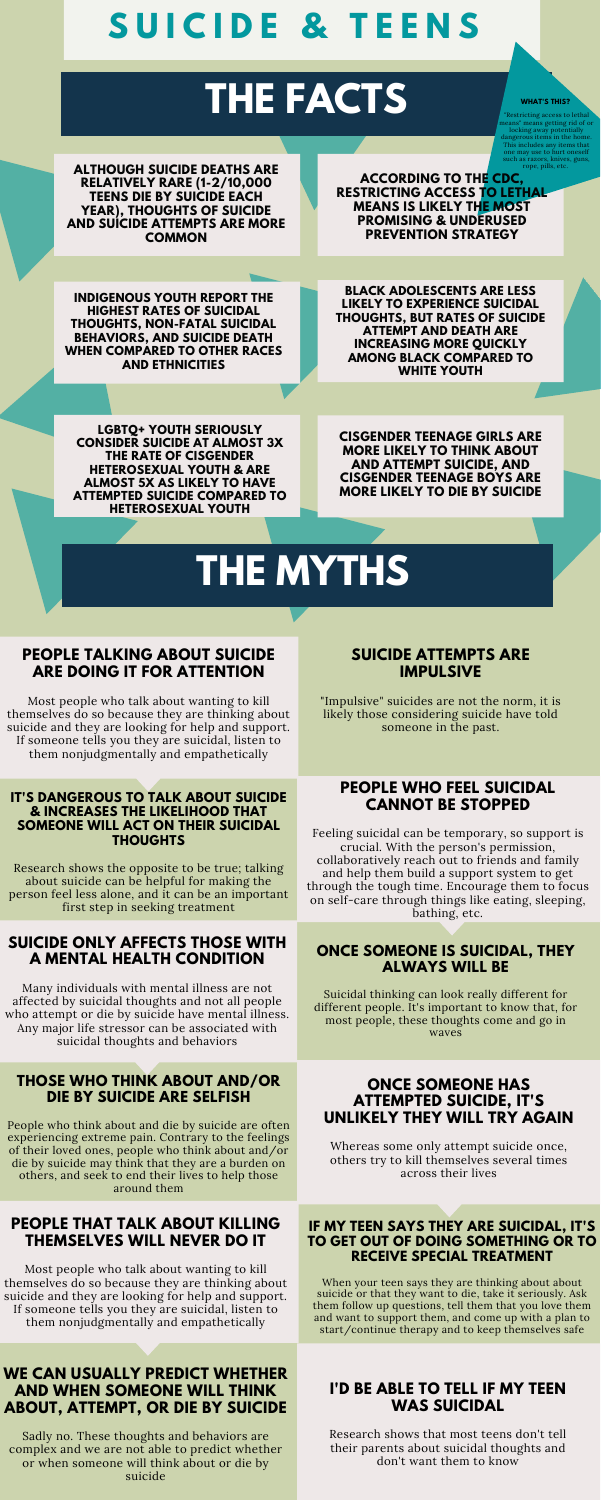## **PEOPLE TALKING ABOUT SUICIDE ARE DOING IT FOR ATTENTION**

Most people who talk about wanting to kill themselves do so because they are thinking about suicide and they are looking for help and support. If someone tells you they are suicidal, listen to them nonjudgmentally and empathetically

#### **IT'S DANGEROUS TO TALK ABOUT SUICIDE & INCREASES THE LIKELIHOOD THAT SOMEONE WILL ACT ON THEIR SUICIDAL THOUGHTS**

Research shows the opposite to be true; talking about suicide can be helpful for making the person feel less alone, and it can be an important first step in seeking treatment

## **PEOPLE WHO FEEL SUICIDAL CANNOT BE STOPPED**

Feeling suicidal can be temporary, so support is crucial. With the person's permission, collaboratively reach out to friends and family and help them build a support system to get through the tough time. Encourage them to focus

#### on self-care through things like eating, sleeping, bathing, etc.

## **SUICIDE ATTEMPTS ARE IMPULSIVE**

"Impulsive" suicides are not the norm, it is likely those considering suicide have told someone in the past.

## **SUICIDE ONLY AFFECTS THOSE WITH A MENTAL HEALTH CONDITION**

Many individuals with mental illness are not affected by suicidal thoughts and not all people who attempt or die by suicide have mental illness. Any major life stressor can be associated with suicidal thoughts and behaviors

## **ONCE SOMEONE IS SUICIDAL, THEY ALWAYS WILL BE**

Suicidal thinking can look really different for different people. It's important to know that, for most people, these thoughts come and go in waves

### **PEOPLE THAT TALK ABOUT KILLING THEMSELVES WILL NEVER DO IT**

Most people who talk about wanting to kill themselves do so because they are thinking about suicide and they are looking for help and support. If someone tells you they are suicidal, listen to them nonjudgmentally and empathetically

#### **IF MY TEEN SAYS THEY ARE SUICIDAL, IT'S TO GET OUT OF DOING SOMETHING OR TO RECEIVE SPECIAL TREATMENT**

When your teen says they are thinking about about suicide or that they want to die, take it seriously. Ask them follow up questions, tell them that you love them and want to support them, and come up with a plan to start/continue therapy and to keep themselves safe

# **THE FACTS**

# **S U I C I D E & T E E N S**

**CISGENDER TEENAGE GIRLS ARE MORE LIKELY TO THINK ABOUT AND ATTEMPT SUICIDE, AND CISGENDER TEENAGE BOYS ARE MORE LIKELY TO DIE BY SUICIDE**

**ALTHOUGH SUICIDE DEATHS ARE RELATIVELY RARE (1-2/10,000 TEENS DIE BY SUICIDE EACH YEAR), THOUGHTS OF SUICIDE AND SUICIDE ATTEMPTS ARE MORE COMMON**

# **THE MYTHS**

## **THOSE WHO THINK ABOUT AND/OR DIE BY SUICIDE ARE SELFISH**

People who think about and die by suicide are often experiencing extreme pain. Contrary to the feelings of their loved ones, people who think about and/or die by suicide may think that they are a burden on others, and seek to end their lives to help those around them

## **ONCE SOMEONE HAS ATTEMPTED SUICIDE, IT'S UNLIKELY THEY WILL TRY AGAIN**

Whereas some only attempt suicide once, others try to kill themselves several times across their lives

### **WE CAN USUALLY PREDICT WHETHER AND WHEN SOMEONE WILL THINK ABOUT, ATTEMPT, OR DIE BY SUICIDE**

Sadly no. These thoughts and behaviors are complex and we are not able to predict whether or when someone will think about or die by suicide

## **I'D BE ABLE TO TELL IF MY TEEN WAS SUICIDAL**

Research shows that most teens don't tell their parents about suicidal thoughts and don't want them to know

**BLACK ADOLESCENTS ARE LESS LIKELY TO EXPERIENCE SUICIDAL THOUGHTS, BUT RATES OF SUICIDE ATTEMPT AND DEATH ARE INCREASING MORE QUICKLY AMONG BLACK COMPARED TO WHITE YOUTH**

**ACCORDING TO THE CDC, RESTRICTING ACCESS TO LETHAL MEANS IS LIKELY THE MOST PROMISING & UNDERUSED PREVENTION STRATEGY**

**LGBTQ+ YOUTH SERIOUSLY CONSIDER SUICIDE AT ALMOST 3X THE RATE OF CISGENDER HETEROSEXUAL YOUTH & ARE ALMOST 5X AS LIKELY TO HAVE ATTEMPTED SUICIDE COMPARED TO HETEROSEXUAL YOUTH**

**INDIGENOUS YOUTH REPORT THE HIGHEST RATES OF SUICIDAL THOUGHTS, NON-FATAL SUICIDAL BEHAVIORS, AND SUICIDE DEATH WHEN COMPARED TO OTHER RACES AND ETHNICITIES**

**WHAT'S THIS?**

"Restricting access to lethal means" means getting rid of or locking away potentially dangerous items in the home. This includes any items that one may use to hurt oneself such as razors, knives, guns, rope, pills, etc.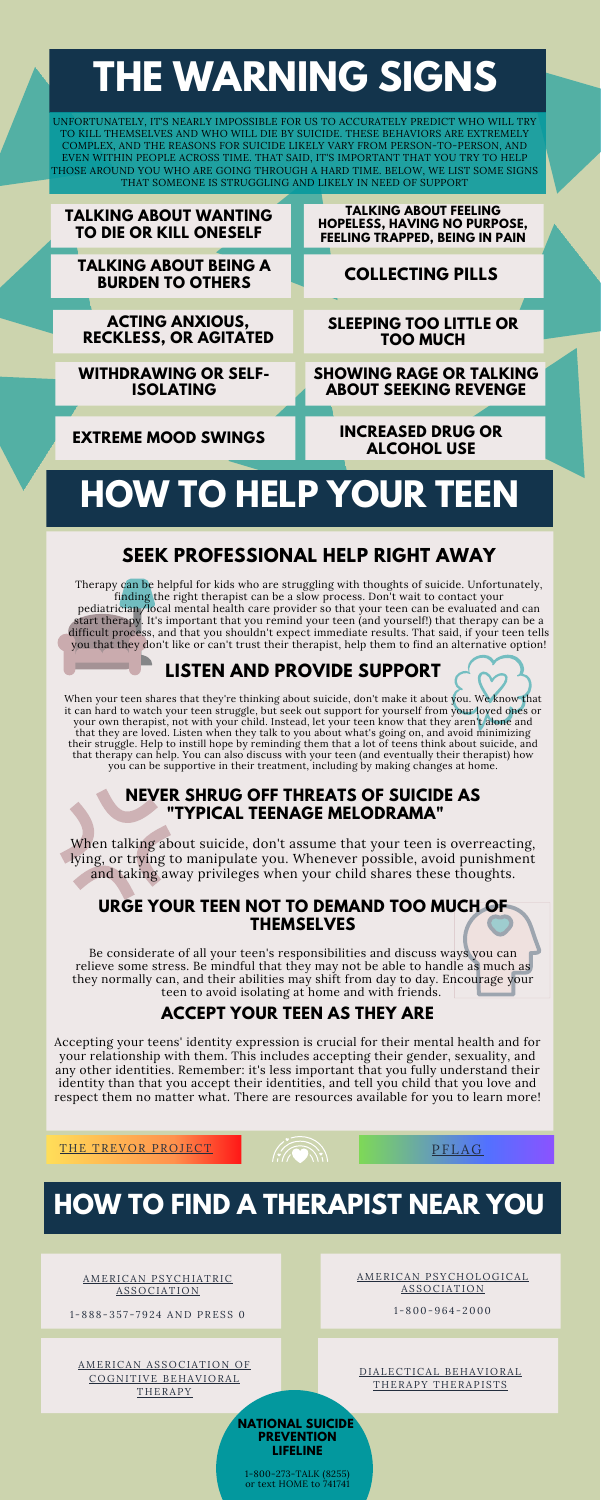## **SEEK PROFESSIONAL HELP RIGHT AWAY**

Therapy can be helpful for kids who are struggling with thoughts of suicide. Unfortunately, finding the right therapist can be a slow process. Don't wait to contact your pediatrician/local mental health care provider so that your teen can be evaluated and can start therapy. It's important that you remind your teen (and yourself!) that therapy can be a difficult process, and that you shouldn't expect immediate results. That said, if your teen tells you that they don't like or can't trust their therapist, help them to find an alternative option!

## **URGE YOUR TEEN NOT TO DEMAND TOO MUCH OF THEMSELVES**

Be considerate of all your teen's responsibilities and discuss ways you can relieve some stress. Be mindful that they may not be able to handle as much as they normally can, and their abilities may shift from day to day. Encourage your teen to avoid isolating at home and with friends.

When your teen shares that they're thinking about suicide, don't make it about you. We know that it can hard to watch your teen struggle, but seek out support for yourself from your loved ones or your own therapist, not with your child. Instead, let your teen know that they aren't alone and that they are loved. Listen when they talk to you about what's going on, and avoid minimizing their struggle. Help to instill hope by reminding them that a lot of teens think about suicide, and that therapy can help. You can also discuss with your teen (and eventually their therapist) how you can be supportive in their treatment, including by making changes at home.

## **LISTEN AND PROVIDE SUPPORT**

## **NEVER SHRUG OFF THREATS OF SUICIDE AS "TYPICAL TEENAGE MELODRAMA"**

D IALECTICAL [BEHAVIORAL](http://behavioraltech.org/resources/crd_results.cfm) THERAPY THERAPISTS

When talking about suicide, don't assume that your teen is overreacting, lying, or trying to manipulate you. Whenever possible, avoid punishment and taking away privileges when your child shares these thoughts.

## **ACCEPT YOUR TEEN AS THEY ARE**

Accepting your teens' identity expression is crucial for their mental health and for your relationship with them. This includes accepting their gender, sexuality, and any other identities. Remember: it's less important that you fully understand their identity than that you accept their identities, and tell you child that you love and respect them no matter what. There are resources available for you to learn more!

THE TREVOR [PROJECT](https://www.thetrevorproject.org/resources/trevor-support-center/) **PROJECT AND SERVICE PROJECT PROJECT** 



UNFORTUNATELY, IT'S NEARLY IMPOSSIBLE FOR US TO ACCURATELY PREDICT WHO WILL TRY TO KILL THEMSELVES AND WHO WILL DIE BY SUICIDE. THESE BEHAVIORS ARE EXTREMELY COMPLEX, AND THE REASONS FOR SUICIDE LIKELY VARY FROM PERSON-TO-PERSON, AND EVEN WITHIN PEOPLE ACROSS TIME. THAT SAID, IT'S IMPORTANT THAT YOU TRY TO HELP THOSE AROUND YOU WHO ARE GOING THROUGH A HARD TIME. BELOW, WE LIST SOME SIGNS THAT SOMEONE IS STRUGGLING AND LIKELY IN NEED OF SUPPORT

# **THE WARNING SIGNS**

# **HOW TO HELP YOUR TEEN**

| <b>TALKING ABOUT WANTING</b><br><b>TO DIE OR KILL ONESELF</b> | <b>TALKING ABOUT FEELING</b><br><b>HOPELESS, HAVING NO PURPOSE,</b><br><b>FEELING TRAPPED, BEING IN PAIN</b> |
|---------------------------------------------------------------|--------------------------------------------------------------------------------------------------------------|
| <b>TALKING ABOUT BEING A</b><br><b>BURDEN TO OTHERS</b>       | <b>COLLECTING PILLS</b>                                                                                      |
|                                                               |                                                                                                              |
| <b>ACTING ANXIOUS,</b><br><b>RECKLESS, OR AGITATED</b>        | <b>SLEEPING TOO LITTLE OR</b><br><b>TOO MUCH</b>                                                             |
|                                                               |                                                                                                              |
| <b>WITHDRAWING OR SELF-</b><br><b>ISOLATING</b>               | <b>SHOWING RAGE OR TALKING</b><br><b>ABOUT SEEKING REVENGE</b>                                               |
|                                                               |                                                                                                              |
| <b>EXTREME MOOD SWINGS</b>                                    | <b>INCREASED DRUG OR</b><br><b>ALCOHOL USE</b>                                                               |

## **HOW TO FIND A THERAPIST NEAR YOU**

AMERICAN [PSYCHIATRIC](http://psych.org/) AS SOCIATION

1 - 8 8 8 - 3 5 7 - 7 9 2 4 AND PRES S 0

AMERICAN [PSYCHOLOGICAL](http://locator.apa.org/) AS SOCIATION

1 - 800- 9 6 4 - 2000

AMERICAN ASSOCIATION OF COGNITIVE [BEHAVIORAL](http://www.abctcentral.org/xFAT/) **THERAPY** 

#### **NATIONAL SUICIDE PREVENTION LIFELINE**

1-800-273-TALK (8255) or text HOME to 741741